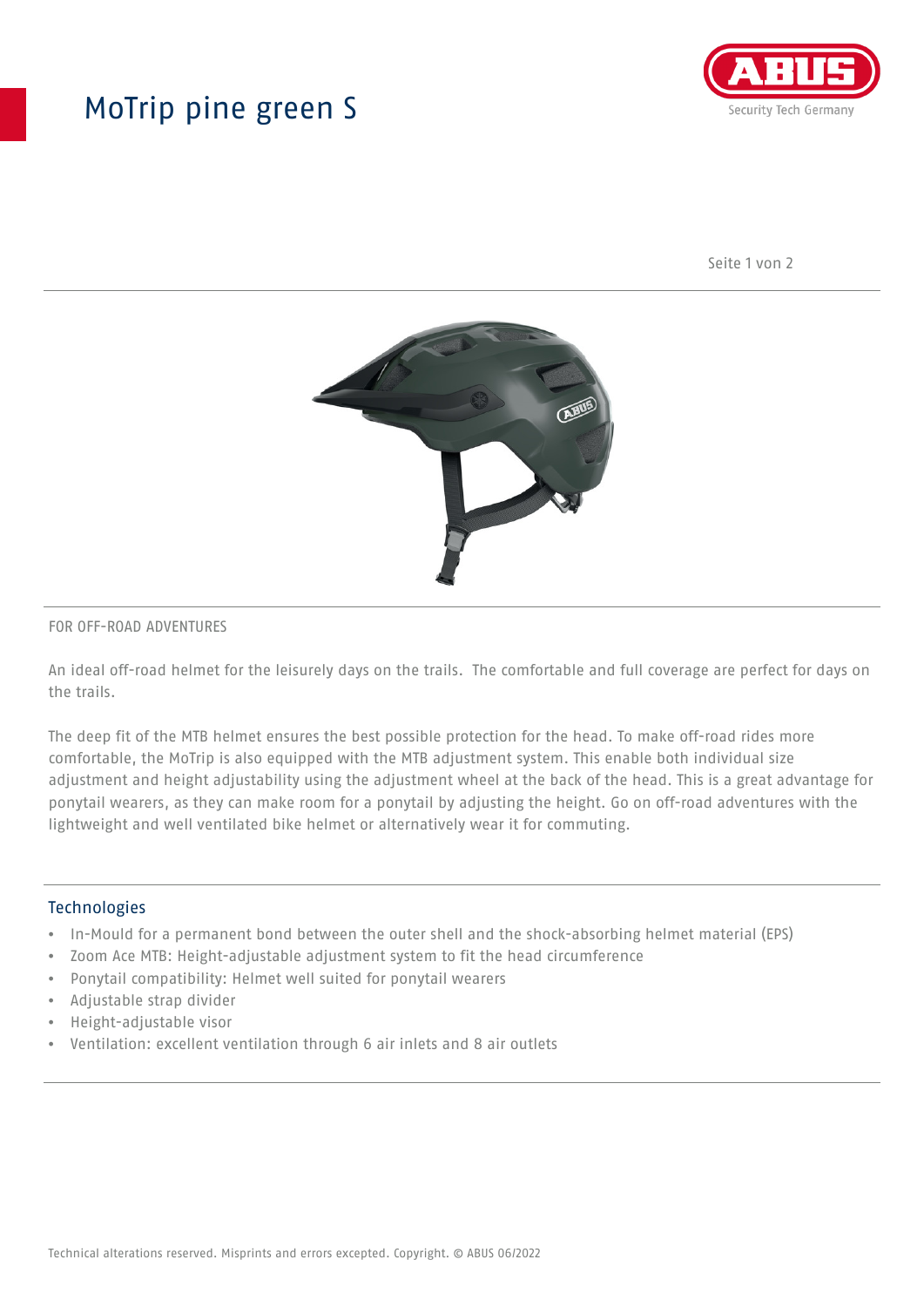# MoTrip pine green S



Seite 1 von 2



#### FOR OFF-ROAD ADVENTURES

An ideal off-road helmet for the leisurely days on the trails. The comfortable and full coverage are perfect for days on the trails.

The deep fit of the MTB helmet ensures the best possible protection for the head. To make off-road rides more comfortable, the MoTrip is also equipped with the MTB adjustment system. This enable both individual size adjustment and height adjustability using the adjustment wheel at the back of the head. This is a great advantage for ponytail wearers, as they can make room for a ponytail by adjusting the height. Go on off-road adventures with the lightweight and well ventilated bike helmet or alternatively wear it for commuting.

### Technologies

- In-Mould for a permanent bond between the outer shell and the shock-absorbing helmet material (EPS)
- Zoom Ace MTB: Height-adjustable adjustment system to fit the head circumference
- Ponytail compatibility: Helmet well suited for ponytail wearers
- Adjustable strap divider
- Height-adjustable visor
- Ventilation: excellent ventilation through 6 air inlets and 8 air outlets